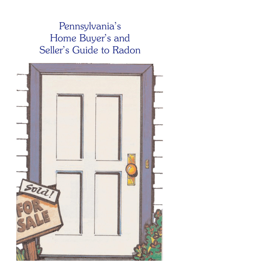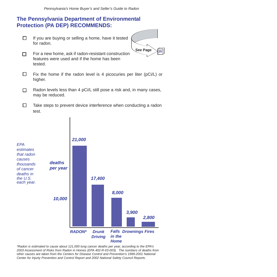#### **The Pennsylvania Department of Environmental Protection (PA DEP) RECOMMENDS:**

п If you are buying or selling a home, have it tested for radon.



- For a new home, ask if radon-resistant construction п features were used and if the home has been tested.
- п Fix the home if the radon level is 4 picocuries per liter (pCi/L) or higher.
- Radon levels less than 4 pCi/L still pose a risk and, in many cases, п may be reduced.
- п Take steps to prevent device interference when conducting a radon test.



*\*Radon is estimated to cause about 121,000 lung cancer deaths per year, according to the EPA's 2003 Assessment of Risks from Radon in Homes (EPA 402-R-03-003). The numbers of deaths from other causes are taken from the Centers for Disease Control and Prevention's 1999-2001 National Center for Injurty Prevention and Control Report and 2002 National Safety Council Reports.*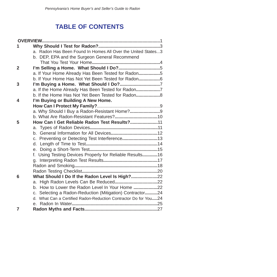## **TABLE OF CONTENTS**

|                | a. Radon Has Been Found In Homes All Over the United States3    |  |
|----------------|-----------------------------------------------------------------|--|
|                | b. DEP, EPA and the Surgeon General Recommend                   |  |
|                |                                                                 |  |
| $\overline{2}$ | I'm Selling a Home. What Should I Do?5                          |  |
|                | a. If Your Home Already Has Been Tested for Radon5              |  |
|                | b. If Your Home Has Not Yet Been Tested for Radon6              |  |
| 3              | I'm Buying a Home. What Should I Do?7                           |  |
|                | a. If the Home Already Has Been Tested for Radon7               |  |
|                | b. If the Home Has Not Yet Been Tested for Radon                |  |
| 4              | I'm Buying or Building A New Home.                              |  |
|                |                                                                 |  |
|                | a. Why Should I Buy a Radon-Resistant Home?9                    |  |
|                |                                                                 |  |
| 5              | How Can I Get Reliable Radon Test Results?11                    |  |
|                |                                                                 |  |
|                |                                                                 |  |
|                | c. Preventing or Detecting Test Interference13                  |  |
|                |                                                                 |  |
|                |                                                                 |  |
|                | f. Using Testing Devices Properly for Reliable Results16        |  |
|                |                                                                 |  |
|                |                                                                 |  |
| 6              | What Should I Do If the Radon Level Is High?22                  |  |
|                |                                                                 |  |
|                | b. How to Lower the Radon Level In Your Home 22                 |  |
|                | c. Selecting a Radon-Reduction (Mitigation) Contractor24        |  |
|                | d. What Can a Certified Radon-Reduction Contractor Do for You24 |  |
|                |                                                                 |  |
| 7              |                                                                 |  |
|                |                                                                 |  |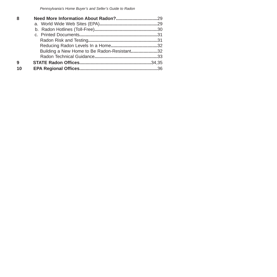| 8  |                                             |  |
|----|---------------------------------------------|--|
|    |                                             |  |
|    |                                             |  |
|    |                                             |  |
|    |                                             |  |
|    |                                             |  |
|    | Building a New Home to Be Radon-Resistant32 |  |
|    |                                             |  |
| 9  |                                             |  |
| 10 |                                             |  |
|    |                                             |  |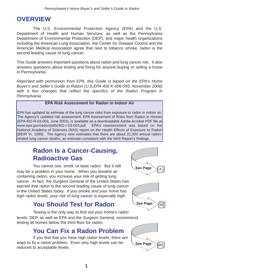### **OVERVIEW**

The U.S. Environmental Protection Agency (EPA) and the U.S. Department of Health and Human Services, as well as the Pennsylvania Department of Environmental Protection (DEP), and major health organizations including the American Lung Association, the Center for Disease Control and the American Medical Association agree that next to tobacco smoke, radon is the second leading cause of lung cancer.

This *Guide* answers important questions about radon and lung cancer risk. It also answers questions about testing and fixing for anyone buying or selling a home in Pennsylvania.

*Reprinted with permission from EPA, this Guide is based on the EPA's Home Buyer's and Seller's Guide to Radon (U.S.EPA 402-K-006-093, November 2006) with a few changes that reflect the specifics of the Radon Program in Pennsylvania.*

#### **EPA Risk Assessment for Radon in Indoor Air**

EPA has updated its estimate of the lung cancer risks from exposure to radon in indoor air. The Agency's updated risk assessment, EPA Assessment of Risks from Radon in Homes (EPA 402-R-03-003, June 2003), is available as a downloadable Adobe Acrobat PDF file at www.epa.gov/radon/pdfs/402-r-03-003.pdf. EPA's reassessment was based on the National Academy of Sciences (NAS) report on the Health Effects of Exposure to Radon (BEIR VI, 1999). The Agency now estimates that there are about 21,000 annual radonrelated lung cancer deaths, an estimate consistent with the NAS Report's findings.

### **Radon Is a Cancer-Causing, Radioactive Gas**

You cannot see, smell, or taste radon. But it still may be a problem in your home. When you breathe air containing radon, you increase your risk of getting lung cancer. In fact, the Surgeon General of the United States has warned that radon is the second leading cause of lung cancer in the United States today. *If you smoke and your home has high radon levels, your risk of lung cancer is especially high.*

### **You Should Test for Radon**

Testing is the only way to find out your home's radon levels. DEP, as well as EPA and the Surgeon General, recommend testing all homes below the third floor for radon.

### **You Can Fix a Radon Problem**

If you find that you have high radon levels, there are ways to fix a radon problem. Even very high levels can be reduced to acceptable levels.





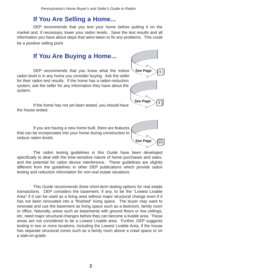### **If You Are Selling a Home...**

DEP recommends that you test your home before putting it on the market and, if necessary, lower your radon levels. Save the test results and all information you have about steps that were taken to fix any problems. This could be a positive selling point.

### **If You Are Buying a Home...**

DEP recommends that you know what the indoor radon level is in any home you consider buying. Ask the seller for their radon test results. If the home has a radon-reduction system, ask the seller for any information they have about the system.

If the home has not yet been tested, you should have the house tested.

If you are having a new home built, there are features that can be incorporated into your home during construction to reduce radon levels.



**See Page** 

**6**

**9**

**See Page** 

The radon testing guidelines in this *Guide* have been developed specifically to deal with the time-sensitive nature of home purchases and sales, and the potential for radon device interference. These guidelines are slightly different from the guidelines in other DEP publications which provide radon testing and reduction information for *non-real estate* situations.

This *Guide* recommends three short-term testing options for real estate transactions. DEP considers the basement, if any, to be the "Lowest Livable Area" if it can be used as a living area without major structural change even if it has not been renovated into a "finished" living space. The buyer may want to renovate and use the basement as living space such as a bedroom, family room or office. Naturally, areas such as basements with ground floors or low ceilings, etc. need major structural changes before they can become a livable area. These areas are not considered to be a Lowest Livable area. Further, DEP suggests testing in two or more locations, including the Lowest Livable Area, if the house has separate structural zones such as a family room above a crawl space or on a slab-on-grade.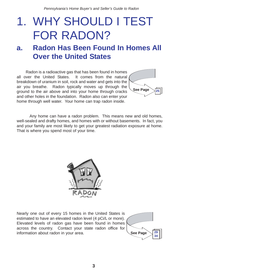# 1. WHY SHOULD I TEST FOR RADON?

## **a. Radon Has Been Found In Homes All Over the United States**

Radon is a radioactive gas that has been found in homes all over the United States. It comes from the natural breakdown of uranium in soil, rock and water and gets into the air you breathe. Radon typically moves up through the ground to the air above and into your home through cracks and other holes in the foundation. Radon also can enter your home through well water. Your home can trap radon inside.



Any home can have a radon problem. This means new and old homes, well-sealed and drafty homes, and homes with or without basements. In fact, you and your family are most likely to get your greatest radiation exposure at home. That is where you spend most of your time.



Nearly one out of every 15 homes in the United States is estimated to have an elevated radon level (4 pCi/L or more). Elevated levels of radon gas have been found in homes across the country. Contact your state radon office for information about radon in your area.

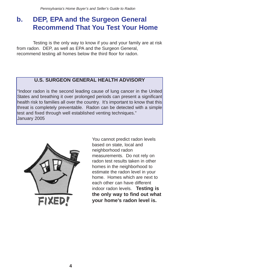## **b. DEP, EPA and the Surgeon General Recommend That You Test Your Home**

Testing is the only way to know if you and your family are at risk from radon. DEP, as well as EPA and the Surgeon General, recommend testing all homes below the third floor for radon.

#### **U.S. SURGEON GENERAL HEALTH ADVISORY**

"Indoor radon is the second leading cause of lung cancer in the United States and breathing it over prolonged periods can present a significant health risk to families all over the country. It's important to know that this threat is completely preventable. Radon can be detected with a simple test and fixed through well established venting techniques." January 2005



You cannot predict radon levels based on state, local and neighborhood radon measurements. Do not rely on radon test results taken in other homes in the neighborhood to estimate the radon level in your home. Homes which are next to each other can have different indoor radon levels. **Testing is the only way to find out what your home's radon level is.**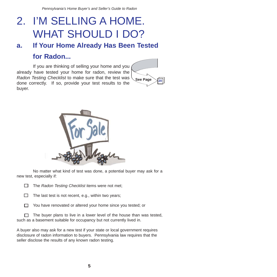# 2. I'M SELLING A HOME. WHAT SHOULD I DO?

## **a. If Your Home Already Has Been Tested for Radon...**

If you are thinking of selling your home and you already have tested your home for radon, review the *Radon Testing Checklist* to make sure that the test was done correctly. If so, provide your test results to the buyer.





No matter what kind of test was done, a potential buyer may ask for a new test, especially if:

П. The *Radon Testing Checklist* items were not met;

 $\Box$  The last test is not recent, e.g., within two years;

П. You have renovated or altered your home since you tested; or

 $\Box$  The buyer plans to live in a lower level of the house than was tested, such as a basement suitable for occupancy but not currently lived in.

A buyer also may ask for a new test if your state or local government requires disclosure of radon information to buyers. Pennsylvania law requires that the seller disclose the results of any known radon testing.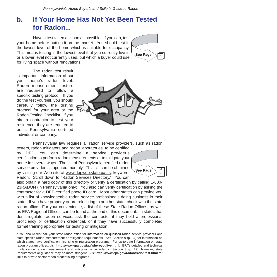## **b. If Your Home Has Not Yet Been Tested for Radon...**

Have a test taken as soon as possible. If you can, test your home before putting it on the market. You should test in the lowest level of the home which is suitable for occupancy. This means testing in the lowest level that you currently live in or a lower level not currently used, but which a buyer could use for living space without renovations.



The radon test result is important information about your home's radon level. Radon measurement testers are required to follow a specific testing protocol. If you do the test yourself, you should carefully follow the testing protocol for your area or the Radon Testing Checklist. If you hire a contractor to test your residence, they are required to be a Pennsylvania certified individual or company.



Pennsylvania law requires all radon service providers, such as radon testers, radon mitigators and radon laboratories, to be certified

by DEP. You can determine a service provider's certification to perform radon measurements or to mitigate your home in several ways. The list of Pennsylvania certified radon service providers is updated monthly. This list can be obtained by visiting our Web site at www.depweb.state.pa.us, keyword: Radon. Scroll down to "Radon Services Directory." You can



also obtain a hard copy of this directory or verify a certification by calling 1-800- 23RADON (in Pennsylvania only). You also can verify certification by asking the contractor for a DEP-certified photo ID card. Most other states can provide you with a list of knowledgeable radon service professionals doing business in their state. If you have property or are relocating to another state, check with the state radon office. For your convenience, a list of these State Radon Offices, as well as EPA Regional Offices, can be found at the end of this document. In states that don't regulate radon services, ask the contractor if they hold a professional proficiency or certification credential, or if they have successfully completed formal training appropriate for testing or mitigation.

\* You should first call your state radon office for information on qualified radon service providers and state-specific radon measurement or mitigation requirements. See Section 9 (p. 34) for information on which states have certification, licensing or registration programs. For up-to-date information on state radon program offices, visit **http://www.epa.gov/iaq/whereyoulive.html.** EPA's detailed and technical guidance on radon measurement and mitigation is included in Section 8 (p. 29); however, state requirements or guidance may be more stringent. Visit **http://www.epa.gov/radon/radontest.html** for links to private sector radon credentialing programs.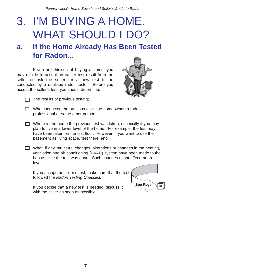# 3. I'M BUYING A HOME. WHAT SHOULD I DO?

## **a. If the Home Already Has Been Tested for Radon...**

If you are thinking of buying a home, you may decide to accept an earlier test result from the seller or ask the seller for a new test to be conducted by a qualified radon tester. Before you accept the seller's test, you should determine:





 $\Box$  The results of previous testing;

- $\Box$  Who conducted the previous test: the homeowner, a radon professional or some other person;
- $\Box$  Where in the home the previous test was taken, especially if you may plan to live in a lower level of the home. For example, the test may have been taken on the first floor. However, if you want to use the basement as living space, test there; and
- What, if any, structural changes, alterations or changes in the heating, ventilation and air conditioning (HVAC) system have been made to the house since the test was done. Such changes might affect radon levels.

If you accept the seller's test, make sure that the test followed the *Radon Testing Checklist.* 

If you decide that a new test is needed, discuss it with the seller as soon as possible.

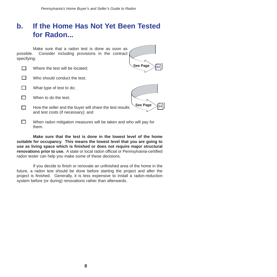## **b. If the Home Has Not Yet Been Tested for Radon...**

Make sure that a radon test is done as soon as possible. Consider including provisions in the contract specifying:

| Where the test will be located;                                                                | See Page |
|------------------------------------------------------------------------------------------------|----------|
| Who should conduct the test:                                                                   |          |
| What type of test to do;                                                                       |          |
| When to do the test:                                                                           |          |
| How the seller and the buyer will share the test results<br>and test costs (if necessary); and | See Page |
| When radon mitigation measures will be taken and who will pay for<br>them.                     |          |

**Make sure that the test is done in the lowest level of the home suitable for occupancy. This means the lowest level that you are going to use as living space which is finished or does not require major structural renovations prior to use.** A state or local radon official or Pennsylvania-certified radon tester can help you make some of these decisions.

If you decide to finish or renovate an unfinished area of the home in the future, a radon test should be done before starting the project and after the project is finished. Generally, it is less expensive to install a radon-reduction system before (or during) renovations rather than afterwards.

**8**

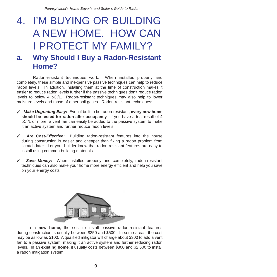# 4. I'M BUYING OR BUILDING A NEW HOME. HOW CAN I PROTECT MY FAMILY? **a. Why Should I Buy a Radon-Resistant**

# **Home?**

Radon-resistant techniques work. When installed properly and completely, these simple and inexpensive passive techniques can help to reduce radon levels. In addition, installing them at the time of construction makes it easier to reduce radon levels further if the passive techniques don't reduce radon levels to below 4 pCi/L. Radon-resistant techniques may also help to lower moisture levels and those of other soil gases. Radon-resistant techniques:

- *Make Upgrading Easy:* Even if built to be radon-resistant, **every new home** 9 **should be tested for radon after occupancy.** If you have a test result of 4 pCi/L or more, a vent fan can easily be added to the passive system to make it an active system and further reduce radon levels.
- *Are Cost-Effective:* Building radon-resistant features into the house during construction is easier and cheaper than fixing a radon problem from scratch later. Let your builder know that radon-resistant features are easy to install using common building materials.  $\checkmark$
- **Save Money:** When installed properly and completely, radon-resistant techniques can also make your home more energy efficient and help you save on your energy costs.  $\checkmark$



In a **new home**, the cost to install passive radon-resistant features during construction is usually between \$350 and \$500. In some areas, the cost may be as low as \$100. A qualified mitigator will charge about \$300 to add a vent fan to a passive system, making it an active system and further reducing radon levels. In an **existing home**, it usually costs between \$800 and \$2,500 to install a radon mitigation system.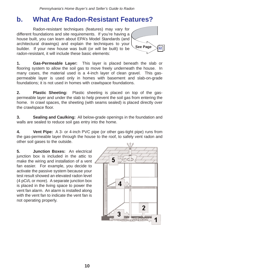## **b. What Are Radon-Resistant Features?**

Radon-resistant techniques (features) may vary for different foundations and site requirements. If you're having a house built, you can learn about EPA's Model Standards (and architectural drawings) and explain the techniques to your builder. If your new house was built (or will be built) to be radon-resistant, it will include these basic elements:



**1. Gas-Permeable Layer:** This layer is placed beneath the slab or flooring system to allow the soil gas to move freely underneath the house. In many cases, the material used is a 4-inch layer of clean gravel. This gaspermeable layer is used only in homes with basement and slab-on-grade foundations; it is not used in homes with crawlspace foundations.

**2. Plastic Sheeting:** Plastic sheeting is placed on top of the gaspermeable layer and under the slab to help prevent the soil gas from entering the home. In crawl spaces, the sheeting (with seams sealed) is placed directly over the crawlspace floor.

**3. Sealing and Caulking:** All below-grade openings in the foundation and walls are sealed to reduce soil gas entry into the home.

**4. Vent Pipe:** A 3- or 4-inch PVC pipe (or other gas-tight pipe) runs from the gas-permeable layer through the house to the roof, to safely vent radon and other soil gases to the outside.

**5. Junction Boxes:** An electrical junction box is included in the attic to make the wiring and installation of a vent fan easier. For example, you decide to activate the passive system because your test result showed an elevated radon level (4 pCi/L or more). A separate junction box is placed in the living space to power the vent fan alarm. An alarm is installed along with the vent fan to indicate the vent fan is not operating properly.

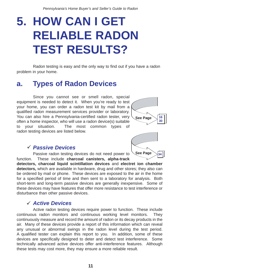# **5. HOW CAN I GET RELIABLE RADON TEST RESULTS?**

Radon testing is easy and the only way to find out if you have a radon problem in your home.

## **a. Types of Radon Devices**

Since you cannot see or smell radon, special equipment is needed to detect it. When you're ready to test your home, you can order a radon test kit by mail from a qualified radon measurement services provider or laboratory. You can also hire a Pennsylvania-certified radon tester, very often a home inspector, who will use a radon device(s) suitable to your situation. The most common types of radon testing devices are listed below.



**See Page** 

**34**

#### *Passive Devices* 9

Passive radon testing devices do not need power to function. These include **charcoal canisters, alpha-track** 

**detectors, charcoal liquid scintillation devices** and **electret ion chamber detectors,** which are available in hardware, drug and other stores; they also can be ordered by mail or phone. These devices are exposed to the air in the home for a specified period of time and then sent to a laboratory for analysis. Both short-term and long-term passive devices are generally inexpensive. Some of these devices may have features that offer more resistance to test interference or disturbance than other passive devices.

#### *Active Devices* 9

Active radon testing devices require power to function. These include continuous radon monitors and continuous working level monitors. They continuously measure and record the amount of radon or its decay products in the air. Many of these devices provide a report of this information which can reveal any unusual or abnormal swings in the radon level during the test period. A qualified tester can explain this report to you. In addition, some of these devices are specifically designed to deter and detect test interference. Some technically advanced active devices offer anti-interference features. Although these tests may cost more, they may ensure a more reliable result.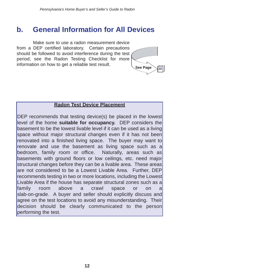## **b. General Information for All Devices**

Make sure to use a radon measurement device from a DEP certified laboratory. Certain precautions should be followed to avoid interference during the test period; see the Radon Testing Checklist for more information on how to get a reliable test result.



#### **Radon Test Device Placement**

DEP recommends that testing device(s) be placed in the lowest level of the home **suitable for occupancy.** DEP considers the basement to be the lowest livable level if it can be used as a living space without major structural changes even if it has not been renovated into a finished living space. The buyer may want to renovate and use the basement as living space such as a bedroom, family room or office. Naturally, areas such as basements with ground floors or low ceilings, etc. need major structural changes before they can be a livable area. These areas are not considered to be a Lowest Livable Area. Further, DEP recommends testing in two or more locations, including the Lowest Livable Area if the house has separate structural zones such as a family room above a crawl space or on a slab-on-grade. A buyer and seller should explicitly discuss and agree on the test locations to avoid any misunderstanding. Their decision should be clearly communicated to the person performing the test.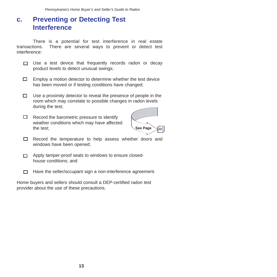## **c. Preventing or Detecting Test Interference**

There is a potential for test interference in real estate transactions. There are several ways to prevent or detect test interference:

- Use a test device that frequently records radon or decay  $\Box$ product levels to detect unusual swings;
- $\Box$ Employ a motion detector to determine whether the test device has been moved or if testing conditions have changed;
- $\Box$ Use a proximity detector to reveal the presence of people in the room which may correlate to possible changes in radon levels during the test;
- $\Box$ Record the barometric pressure to identify weather conditions which may have affected the test;



- Record the temperature to help assess whether doors and  $\Box$ windows have been opened;
- Apply tamper-proof seals to windows to ensure closed- $\Box$ house conditions; and
- Have the seller/occupant sign a non-interference agreement. П.

Home buyers and sellers should consult a DEP-certified radon test provider about the use of these precautions.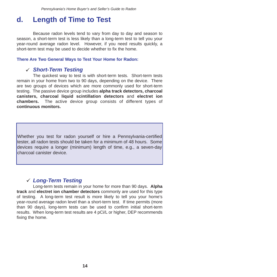## **d. Length of Time to Test**

Because radon levels tend to vary from day to day and season to season, a short-term test is less likely than a long-term test to tell you your year-round average radon level. However, if you need results quickly, a short-term test may be used to decide whether to fix the home.

#### **There Are Two General Ways to Test Your Home for Radon:**

### *Short-Term Testing* 9

The quickest way to test is with short-term tests. Short-term tests remain in your home from two to 90 days, depending on the device. There are two groups of devices which are more commonly used for short-term testing. The passive device group includes **alpha track detectors, charcoal canisters, charcoal liquid scintillation detectors** and **electret ion chambers.** The active device group consists of different types of **continuous monitors.**

Whether you test for radon yourself or hire a Pennsylvania-certified tester, all radon tests should be taken for a minimum of 48 hours. Some devices require a longer (minimum) length of time, e.g., a seven-day charcoal canister device.

### *Long-Term Testing* 9

Long-term tests remain in your home for more than 90 days. **Alpha track** and **electret ion chamber detectors** commonly are used for this type of testing. A long-term test result is more likely to tell you your home's year-round average radon level than a short-term test. If time permits (more than 90 days), long-term tests can be used to confirm initial short-term results. When long-term test results are 4 pCi/L or higher, DEP recommends fixing the home.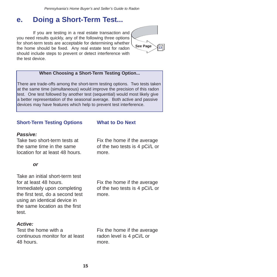## **e. Doing a Short-Term Test...**

If you are testing in a real estate transaction and you need results quickly, any of the following three options for short-term tests are acceptable for determining whether the home should be fixed. Any real estate test for radon should include steps to prevent or detect interference with the test device.



#### **When Choosing a Short-Term Testing Option...**

There are trade-offs among the short-term testing options. Two tests taken at the same time (simultaneous) would improve the precision of this radon test. One test followed by another test (sequential) would most likely give a better representation of the seasonal average. Both active and passive devices may have features which help to prevent test interference.

#### **Short-Term Testing Options**

#### *Passive:*

Take two short-term tests at the same time in the same location for at least 48 hours.

#### *or*

Take an initial short-term test for at least 48 hours.

Immediately upon completing the first test, do a second test using an identical device in the same location as the first test.

#### *Active:*

Test the home with a continuous monitor for at least 48 hours.

## **What to Do Next**

Fix the home if the average of the two tests is 4 pCi/L or more.

Fix the home if the average of the two tests is 4 pCi/L or more.

Fix the home if the average radon level is 4 pCi/L or more.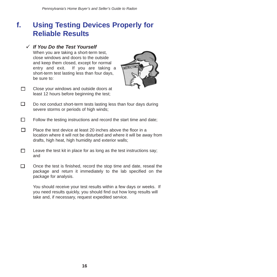## **f. Using Testing Devices Properly for Reliable Results**

#### *If You Do the Test Yourself*  9

When you are taking a short-term test, close windows and doors to the outside and keep them closed, except for normal entry and exit. If you are taking a short-term test lasting less than four days, be sure to:



- П. Close your windows and outside doors at least 12 hours before beginning the test;
- П. Do not conduct short-term tests lasting less than four days during severe storms or periods of high winds;
- $\Box$ Follow the testing instructions and record the start time and date;
- п Place the test device at least 20 inches above the floor in a location where it will not be disturbed and where it will be away from drafts, high heat, high humidity and exterior walls;
- П Leave the test kit in place for as long as the test instructions say; and
- П. Once the test is finished, record the stop time and date, reseal the package and return it immediately to the lab specified on the package for analysis.

You should receive your test results within a few days or weeks. If you need results quickly, you should find out how long results will take and, if necessary, request expedited service.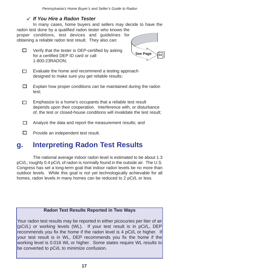### *If You Hire a Radon Tester* 9

In many cases, home buyers and sellers may decide to have the radon test done by a qualified radon tester who knows the proper conditions, test devices and guidelines for obtaining a reliable radon test result. They also can:

□ Verify that the tester is DEP-certified by asking for a certified DEP ID card or call 1-800-23RADON;



- m. Evaluate the home and recommend a testing approach designed to make sure you get reliable results;
- $\Box$ Explain how proper conditions can be maintained during the radon test;
- Emphasize to a home's occupants that a reliable test result  $\Box$ depends upon their cooperation. Interference with, or disturbance of, the test or closed-house conditions will invalidate the test result;
- П. Analyze the data and report the measurement results; and
- $\Box$ Provide an independent test result.

## **g. Interpreting Radon Test Results**

The national average indoor radon level is estimated to be about 1.3 pCi/L; roughly 0.4 pCi/L of radon is normally found in the outside air. The U.S. Congress has set a long-term goal that indoor radon levels be no more than outdoor levels. While this goal is not yet technologically achievable for all homes, radon levels in many homes can be reduced to 2 pCi/L or less.

#### **Radon Test Results Reported in Two Ways**

Your radon test results may be reported in either picocuries per liter of air (pCi/L) or working levels (WL). If your test result is in pCi/L, DEP recommends you fix the home if the radon level is 4 pCi/L or higher. If your test result is in WL, DEP recommends you fix the home if the working level is 0.016 WL or higher. Some states require WL results to be converted to pCi/L to minimize confusion.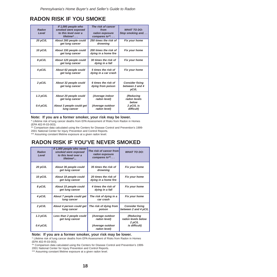### **RADON RISK IF YOU SMOKE**

| Radon<br>Level | If 1,000 people who<br>smoked were exposed<br>to this level over a<br>lifetime $^*$ | The risk of cancer<br>from<br>radon exposure<br>compares to** | <b>WHAT TO DO:</b><br>Stop smoking and             |
|----------------|-------------------------------------------------------------------------------------|---------------------------------------------------------------|----------------------------------------------------|
| 20 pCi/L       | About 260 people could<br>get lung cancer                                           | 250 times the risk of<br>drowning                             | Fix your home                                      |
| 10 pCi/L       | About 150 people could<br>get lung cancer                                           | 200 times the risk of<br>dying in a home fire                 | Fix your home                                      |
| 8 pCi/L        | About 120 people could<br>get lung cancer                                           | 30 times the risk of<br>dying in a fall                       | Fix your home                                      |
| 4 pCi/L        | About 62 people could<br>get lung cancer                                            | 5 times the risk of<br>dying in a car crash                   | Fix your home                                      |
| 2 pCi/L        | About 32 people could<br>get lung cancer                                            | 6 times the risk of<br>dying from poison                      | <b>Consider fixing</b><br>between 2 and 4<br>pCi/L |
| $1.3$ pCi/L    | About 20 people could<br>get lung cancer                                            | (Average indoor<br>radon level)                               | (Reducing<br>radon levels<br>below                 |
| $0.4$ pCi/L    | About 3 people could get<br>lung cancer                                             | (Average outdoor<br>radon level)                              | 2 pCi/L is<br>difficult)                           |

#### **Note: If you are a former smoker, your risk may be lower.**

\* Lifetime risk of lung cancer deaths from EPA Assessment of Risks from Radon in Homes

(EPA 402-R-03-003). \*\* Comparison data calculated using the Centers for Disease Control and Prevention's 1999- 2001 National Center for Injury Prevention and Control Reports.

\*\*\* Assuming constant lifetime exposure at a given radon level.

### **RADON RISK IF YOU'VE NEVER SMOKED**

| Radon<br>Level | If 1,000 people who never<br>smoked were exposed<br>to this level over a<br>lifetime* | The risk of cancer from<br>radon exposure<br>compares to** | <b>WHAT TO DO:</b>                             |
|----------------|---------------------------------------------------------------------------------------|------------------------------------------------------------|------------------------------------------------|
| 20 pCi/L       | About 36 people could<br>get lung cancer                                              | 35 times the risk of<br>drowning                           | Fix your home                                  |
| 10 pCi/L       | About 18 people could<br>get lung cancer                                              | 20 times the risk of<br>dying in a home fire               | Fix your home                                  |
| 8 pCi/L        | About 15 people could<br>get lung cancer                                              | 4 times the risk of<br>dying in a fall                     | Fix your home                                  |
| 4 pCi/L        | About 7 people could get<br>lung cancer                                               | The risk of dying in a<br>car crash                        | Fix your home                                  |
| 2 pCi/L        | About 4 person could get<br>lung cancer                                               | The risk of dying from<br>poison                           | <b>Consider fixing</b><br>between 2 and 4 pC/L |
| 1.3 $pCi/L$    | Less than 2 people could<br>get lung cancer                                           | (Average outdoor<br>radon level)                           | (Reducing<br>radon levels below                |
| $0.4$ pCi/L    |                                                                                       | (Average outdoor<br>radon level)                           | 2 pC/L<br>is difficult)                        |

#### **Note: If you are a former smoker, your risk may be lower.**

\* Lifetime risk of lung cancer deaths from EPA Assessment of Risks from Radon in Homes (EPA 402-R-03-003).

\*\* Comparison data calculated using the Centers for Disease Control and Prevention's 1999-

2001 National Center for Injury Prevention and Control Reports.

\*\*\* Assuming constant lifetime exposure at a given radon level.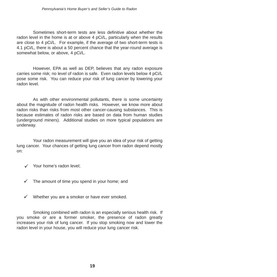Sometimes short-term tests are less definitive about whether the radon level in the home is at or above 4 pCi/L, particularly when the results are close to 4 pCi/L. For example, if the average of two short-term tests is 4.1 pCi/L, there is about a 50 percent chance that the year-round average is somewhat below, or above, 4 pCi/L.

However, EPA as well as DEP, believes that any radon exposure carries some risk; no level of radon is safe. Even radon levels below 4 pCi/L pose some risk. You can reduce your risk of lung cancer by lowering your radon level.

As with other environmental pollutants, there is some uncertainty about the magnitude of radon health risks. However, we know more about radon risks than risks from most other cancer-causing substances. This is because estimates of radon risks are based on data from human studies (underground miners). Additional studies on more typical populations are underway.

Your radon measurement will give you an idea of your risk of getting lung cancer. Your chances of getting lung cancer from radon depend mostly on:

- $\checkmark$  Your home's radon level;
- $\checkmark$  The amount of time you spend in your home; and
- $\checkmark$  Whether you are a smoker or have ever smoked.

Smoking combined with radon is an especially serious health risk. If you smoke or are a former smoker, the presence of radon greatly increases your risk of lung cancer. If you stop smoking now and lower the radon level in your house, you will reduce your lung cancer risk.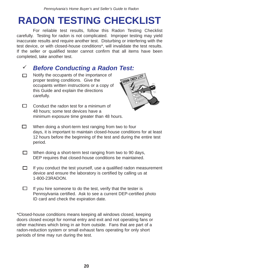# **RADON TESTING CHECKLIST**

For reliable test results, follow this Radon Testing Checklist carefully. Testing for radon is not complicated. Improper testing may yield inaccurate results and require another test. Disturbing or interfering with the test device, or with closed-house conditions\*, will invalidate the test results. If the seller or qualified tester cannot confirm that all items have been completed, take another test.

#### *Before Conducting a Radon Test:*  $\checkmark$

- Notify the occupants of the importance of  $\Box$ proper testing conditions. Give the occupants written instructions or a copy of this Guide and explain the directions carefully.
- $\Box$ Conduct the radon test for a minimum of 48 hours; some test devices have a minimum exposure time greater than 48 hours.



- $\Box$ When doing a short-term test ranging from two to four days, it is important to maintain closed-house conditions for at least 12 hours before the beginning of the test and during the entire test period.
- $\Box$ When doing a short-term test ranging from two to 90 days, DEP requires that closed-house conditions be maintained.
- П. If you conduct the test yourself, use a qualified radon measurement device and ensure the laboratory is certified by calling us at 1-800-23RADON.
- $\Box$ If you hire someone to do the test, verify that the tester is Pennsylvania certified. Ask to see a current DEP-certified photo ID card and check the expiration date.

\*Closed-house conditions means keeping all windows closed, keeping doors closed except for normal entry and exit and not operating fans or other machines which bring in air from outside. Fans that are part of a radon-reduction system or small exhaust fans operating for only short periods of time may run during the test.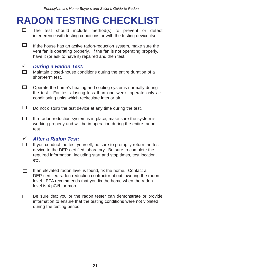# **RADON TESTING CHECKLIST**

- $\Box$ The test should include method(s) to prevent or detect interference with testing conditions or with the testing device itself.
- □ If the house has an active radon-reduction system, make sure the vent fan is operating properly. If the fan is not operating properly, have it (or ask to have it) repaired and then test.

#### *During a Radon Test:*  $\checkmark$

 $\Box$ Maintain closed-house conditions during the entire duration of a short-term test.

- $\Box$ Operate the home's heating and cooling systems normally during the test. For tests lasting less than one week, operate only airconditioning units which recirculate interior air.
- $\Box$ Do not disturb the test device at any time during the test.
- $\Box$ If a radon-reduction system is in place, make sure the system is working properly and will be in operation during the entire radon test.

#### *After a Radon Test:*  $\checkmark$

- П. If you conduct the test yourself, be sure to promptly return the test device to the DEP-certified laboratory. Be sure to complete the required information, including start and stop times, test location, etc.
- If an elevated radon level is found, fix the home. Contact a □ □ DEP-certified radon-reduction contractor about lowering the radon level. EPA recommends that you fix the home when the radon level is 4 pCi/L or more.
- $\Box$ Be sure that you or the radon tester can demonstrate or provide information to ensure that the testing conditions were not violated during the testing period.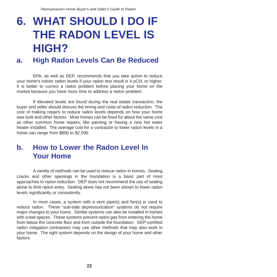# **6. WHAT SHOULD I DO IF THE RADON LEVEL IS HIGH?**

## **a. High Radon Levels Can Be Reduced**

EPA, as well as DEP, recommends that you take action to reduce your home's indoor radon levels if your radon test result is 4 pCi/L or higher. It is better to correct a radon problem before placing your home on the market because you have more time to address a radon problem.

If elevated levels are found during the real estate transaction, the buyer and seller should discuss the timing and costs of radon reduction. The cost of making repairs to reduce radon levels depends on how your home was built and other factors. Most homes can be fixed for about the same cost as other common home repairs, like painting or having a new hot water heater installed. The average cost for a contractor to lower radon levels in a home can range from \$800 to \$2,500.

## **b. How to Lower the Radon Level In Your Home**

A variety of methods can be used to reduce radon in homes. Sealing cracks and other openings in the foundation is a basic part of most approaches to radon reduction. DEP does not recommend the use of sealing alone to limit radon entry. Sealing alone has not been shown to lower radon levels significantly or consistently.

In most cases, a system with a vent pipe(s) and fan(s) is used to reduce radon. These "sub-slab depressurization" systems do not require major changes to your home. Similar systems can also be installed in homes with crawl spaces. These systems prevent radon gas from entering the home from below the concrete floor and from outside the foundation. DEP-certified radon mitigation contractors may use other methods that may also work in your home. The right system depends on the design of your home and other factors.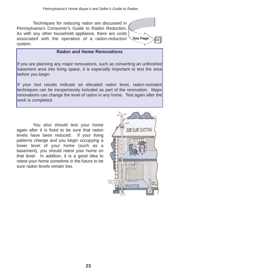Techniques for reducing radon are discussed in Pennsylvania's Consumer's Guide to Radon Reduction. As with any other household appliance, there are costs associated with the operation of a radon-reduction system.

#### **Radon and Home Renovations**

If you are planning any major renovations, such as converting an unfinished basement area into living space, it is especially important to test the area before you begin.

If your test results indicate an elevated radon level, radon-resistant techniques can be inexpensively included as part of the renovation. Major renovations can change the level of radon in any home. Test again after the work is completed.

You also should test your home again after it is fixed to be sure that radon levels have been reduced. If your living patterns change and you begin occupying a lower level of your home (such as a basement), you should retest your home on that level. In addition, it is a good idea to retest your home sometime in the future to be sure radon levels remain low.

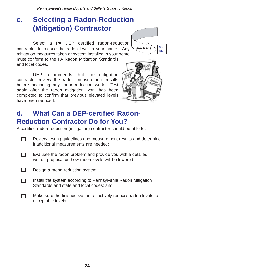## **c. Selecting a Radon-Reduction (Mitigation) Contractor**

Select a PA DEP certified radon-reduction contractor to reduce the radon level in your home. Any mitigation measures taken or system installed in your home must conform to the PA Radon Mitigation Standards and local codes.

DEP recommends that the mitigation contractor review the radon measurement results before beginning any radon-reduction work. Test again after the radon mitigation work has been completed to confirm that previous elevated levels have been reduced.



**See Page** 

**34 34**

**33**

## **d. What Can a DEP-certified Radon-Reduction Contractor Do for You?**

A certified radon-reduction (mitigation) contractor should be able to:

- П Review testing guidelines and measurement results and determine if additional measurements are needed;
- П Evaluate the radon problem and provide you with a detailed, written proposal on how radon levels will be lowered;
- П Design a radon-reduction system;
- Install the system according to Pennsylvania Radon Mitigation П. Standards and state and local codes; and
- Make sure the finished system effectively reduces radon levels to П acceptable levels.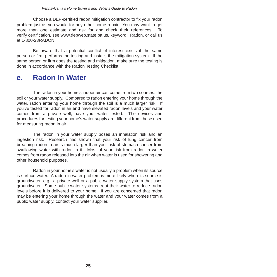Choose a DEP-certified radon mitigation contractor to fix your radon problem just as you would for any other home repair. You may want to get more than one estimate and ask for and check their references. To verify certification, see www.depweb.state.pa.us, keyword: Radon, or call us at 1-800-23RADON.

Be aware that a potential conflict of interest exists if the same person or firm performs the testing and installs the mitigation system. If the same person or firm does the testing and mitigation, make sure the testing is done in accordance with the Radon Testing Checklist.

## **e. Radon In Water**

The radon in your home's indoor air can come from two sources: the soil or your water supply. Compared to radon entering your home through the water, radon entering your home through the soil is a much larger risk. If you've tested for radon in air **and** have elevated radon levels and your water comes from a private well, have your water tested. The devices and procedures for testing your home's water supply are different from those used for measuring radon in air.

The radon in your water supply poses an inhalation risk and an ingestion risk. Research has shown that your risk of lung cancer from breathing radon in air is much larger than your risk of stomach cancer from swallowing water with radon in it. Most of your risk from radon in water comes from radon released into the air when water is used for showering and other household purposes.

Radon in your home's water is not usually a problem when its source is surface water. A radon in water problem is more likely when its source is groundwater, e.g., a private well or a public water supply system that uses groundwater. Some public water systems treat their water to reduce radon levels before it is delivered to your home. If you are concerned that radon may be entering your home through the water and your water comes from a public water supply, contact your water supplier.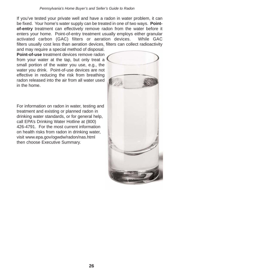If you've tested your private well and have a radon in water problem, it can be fixed. Your home's water supply can be treated in one of two ways. **Pointof-entry** treatment can effectively remove radon from the water before it enters your home. Point-of-entry treatment usually employs either granular activated carbon (GAC) filters or aeration devices. While GAC filters usually cost less than aeration devices, filters can collect radioactivity and may require a special method of disposal.

**Point-of-use** treatment devices remove radon from your water at the tap, but only treat a small portion of the water you use, e.g., the water you drink. Point-of-use devices are not effective in reducing the risk from breathing radon released into the air from all water used in the home.

For information on radon in water, testing and treatment and existing or planned radon in drinking water standards, or for general help, call EPA's Drinking Water Hotline at (800) 426-4791. For the most current information on health risks from radon in drinking water, visit www.epa.gov/ogwdw/radon/nas.html then choose Executive Summary.

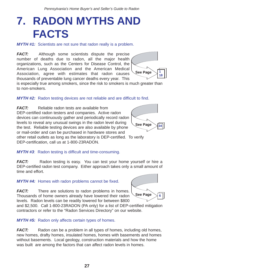# **7. RADON MYTHS AND FACTS**

*MYTH #1:* Scientists are not sure that radon really is a problem.

*FACT:* Although some scientists dispute the precise number of deaths due to radon, all the major health organizations, such as the Centers for Disease Control, the American Lung Association and the American Medical Association, agree with estimates that radon causes thousands of preventable lung cancer deaths every year. This



is especially true among smokers, since the risk to smokers is much greater than to non-smokers.

#### **MYTH #2:** Radon testing devices are not reliable and are difficult to find.

*FACT:* Reliable radon tests are available from DEP-certified radon testers and companies. Active radon devices can continuously gather and periodically record radon levels to reveal any unusual swings in the radon level during the test. Reliable testing devices are also available by phone or mail-order and can be purchased in hardware stores and other retail outlets as long as the laboratory is DEP-certified. To verify DEP-certification, call us at 1-800-23RADON.



*MYTH #3*: Radon testing is difficult and time-consuming.

*FACT:* Radon testing is easy. You can test your home yourself or hire a DEP-certified radon test company. Either approach takes only a small amount of time and effort.

*MYTH #4:* Homes with radon problems cannot be fixed.

*FACT:* There are solutions to radon problems in homes. Thousands of home owners already have lowered their radon levels. Radon levels can be readily lowered for between \$800



and \$2,500. Call 1-800-23RADON (PA only) for a list of DEP-certified mitigation contractors or refer to the "Radon Services Directory" on our website.

*MYTH #5:* Radon only affects certain types of homes.

*FACT:* Radon can be a problem in all types of homes, including old homes, new homes, drafty homes, insulated homes, homes with basements and homes without basements. Local geology, construction materials and how the home was built are among the factors that can affect radon levels in homes.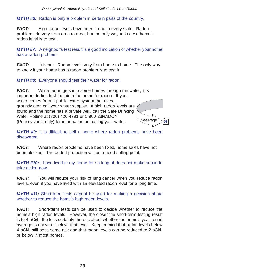#### *MYTH #6:* Radon is only a problem in certain parts of the country.

*FACT:* High radon levels have been found in every state. Radon problems do vary from area to area, but the only way to know a home's radon level is to test.

*MYTH #7:* A neighbor's test result is a good indication of whether your home has a radon problem.

*FACT:* It is not. Radon levels vary from home to home. The only way to know if your home has a radon problem is to test it.

*MYTH #8*: Everyone should test their water for radon.

*FACT:* While radon gets into some homes through the water, it is important to first test the air in the home for radon. If your water comes from a public water system that uses groundwater, call your water supplier. If high radon levels are found and the home has a private well, call the Safe Drinking Water Hotline at (800) 426-4791 or 1-800-23RADON (Pennsylvania only) for information on testing your water. **See Page** 

*MYTH #9:* It is difficult to sell a home where radon problems have been discovered.

**25**

*FACT:* Where radon problems have been fixed, home sales have not been blocked. The added protection will be a good selling point.

*MYTH #10:* I have lived in my home for so long, it does not make sense to take action now.

*FACT:* You will reduce your risk of lung cancer when you reduce radon levels, even if you have lived with an elevated radon level for a long time.

*MYTH #11:* Short-term tests cannot be used for making a decision about whether to reduce the home's high radon levels.

**FACT:** Short-term tests can be used to decide whether to reduce the home's high radon levels. However, the closer the short-term testing result is to 4 pCi/L, the less certainty there is about whether the home's year-round average is above or below that level. Keep in mind that radon levels below 4 pCi/L still pose some risk and that radon levels can be reduced to 2 pCi/L or below in most homes.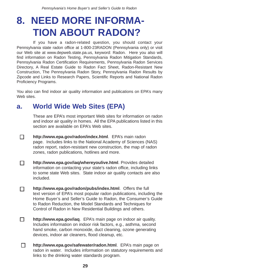# **8. NEED MORE INFORMA-TION ABOUT RADON?**

If you have a radon-related question, you should contact your Pennsylvania state radon office at 1-800-23RADON (Pennsylvania only) or visit our Web site at www.depweb.state.pa.us, keyword: Radon. Here you also will find information on Radon Testing, Pennsylvania Radon Mitigation Standards, Pennsylvania Radon Certification Requirements, Pennsylvania Radon Services Directory, A Real Estate Guide to Radon Fact Sheet, Radon-Resistant New Construction, The Pennsylvania Radon Story, Pennsylvania Radon Results by Zipcode and Links to Research Papers, Scientific Reports and National Radon Proficiency Programs.

You also can find indoor air quality information and publications on EPA's many Web sites.

## **a. World Wide Web Sites (EPA)**

П

These are EPA's most important Web sites for information on radon and indoor air quality in homes. All the EPA publications listed in this section are available on EPA's Web sites.

- **http://www.epa.gov/radon/index.html**. EPA's main radon page. Includes links to the National Academy of Sciences (NAS) radon report, radon-resistant new construction, the map of radon zones, radon publications, hotlines and more.
- П **http://www.epa.gov/iaq/whereyoulive.html**. Provides detailed information on contacting your state's radon office, including links to some state Web sites. State indoor air quality contacts are also included.
- **http://www.epa.gov/radon/pubs/index.html**. Offers the full П text version of EPA's most popular radon publications, including the Home Buyer's and Seller's Guide to Radon, the Consumer's Guide to Radon Reduction, the Model Standards and Techniques for Control of Radon in New Residential Buildings and others.
- П. **http://www.epa.gov/iaq**. EPA's main page on indoor air quality. Includes information on indoor risk factors, e.g., asthma, second hand smoke, carbon monoxide, duct cleaning, ozone generating devices, indoor air cleaners, flood cleanup, etc.
- П **http://www.epa.gov/safewater/radon.html**. EPA's main page on radon in water. Includes information on statutory requirements and links to the drinking water standards program.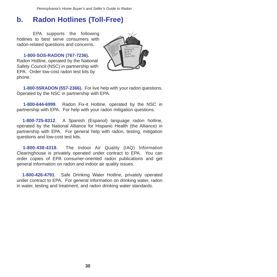## **b. Radon Hotlines (Toll-Free)**

EPA supports the following hotlines to best serve consumers with radon-related questions and concerns.

#### **1-800-SOS-RADON (767-7236).**

Radon Hotline, operated by the National Safety Council (NSC) in partnership with EPA. Order low-cost radon test kits by phone.



**1-800-55RADON (557-2366).** For live help with your radon questions. Operated by the NSC in partnership with EPA.

**1-800-644-6999**. Radon Fix-it Hotline, operated by the NSC in partnership with EPA. For help with your radon mitigation questions.

**1-800-725-8312**. A Spanish (Espanol) language radon hotline, operated by the National Alliance for Hispanic Health (the Alliance) in partnership with EPA. For general help with radon, testing, mitigation questions and low-cost test kits.

**1-800-438-4318**. The Indoor Air Quality (IAQ) Information Clearinghouse is privately operated under contract to EPA. You can order copies of EPA consumer-oriented radon publications and get general information on radon and indoor air quality issues.

**1-800-426-4791**. Safe Drinking Water Hotline, privately operated under contract to EPA. For general information on drinking water, radon in water, testing and treatment, and radon drinking water standards.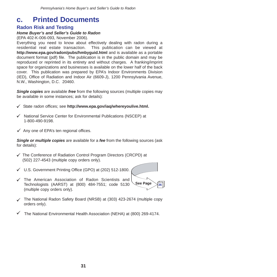## **c. Printed Documents**

#### **Radon Risk and Testing**

#### *Home Buyer's and Seller's Guide to Radon*

(EPA 402-K-006-093, November 2006).

Everything you need to know about effectively dealing with radon during a residential real estate transaction. This publication can be viewed at **http://www.epa.gov/radon/pubs/hmbyguid.html** and is available as a portable document format (pdf) file. The publication is in the public domain and may be reproduced or reprinted in its entirety and without charges. A franking/imprint space for organizations and businesses is available on the lower half of the back cover. This publication was prepared by EPA's Indoor Environments Division (IED), Office of Radiation and Indoor Air (6609-J), 1200 Pennsylvania Avenue, N.W., Washington, D.C. 20460.

*Single copies* are available *free* from the following sources (multiple copies may be available in some instances; ask for details):

- State radon offices; see **http://www.epa.gov/iaq/whereyoulive.html.** 9
- $\checkmark$  National Service Center for Environmental Publications (NSCEP) at 1-800-490-9198.
- $\checkmark$  Any one of EPA's ten regional offices.

*Single or multiple copies* are available for a *fee* from the following sources (ask for details):

- $\checkmark$  The Conference of Radiation Control Program Directors (CRCPD) at (502) 227-4543 (multiple copy orders only).
- U.S. Government Printing Office (GPO) at (202) 512-1800. 9
- $\checkmark$  The American Association of Radon Scientists and Technologists (AARST) at (800) 484-7551; code 5130 (multiple copy orders only).
- The National Radon Safety Board (NRSB) at (303) 423-2674 (multiple copy 9 orders only).

**See Page** 

**36**

The National Environmental Health Association (NEHA) at (800) 269-4174. 9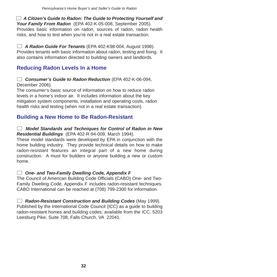*A Citizen's Guide to Radon: The Guide to Protecting Yourself and Your Family From Radon* (EPA 402-K-05-008, September 2005). Provides basic information on radon, sources of radon, radon health risks, and how to test when you're not in a real estate transaction.

*A Radon Guide For Tenants* (EPA 402-K98-004, August 1998). Provides tenants with basic information about radon, testing and fixing. It also contains information directed to building owners and landlords.

### **Reducing Radon Levels In a Home**

*Consumer's Guide to Radon Reduction* (EPA 402-K-06-094, December 2006).

The consumer's basic source of information on how to reduce radon levels in a home's indoor air. It includes information about the key mitigation system components, installation and operating costs, radon health risks and testing (when not in a real estate transaction).

### **Building a New Home to Be Radon-Resistant**

*Model Standards and Techniques for Control of Radon in New Residential Buildings* (EPA 402-R-94-009, March 1994).

These model standards were developed by EPA in conjunction with the home building industry. They provide technical details on how to make radon-resistant features an integral part of a new home during construction. A must for builders or anyone building a new or custom home.

#### *One- and Two-Family Dwelling Code, Appendix F*

The Council of American Building Code Officials (CABO) One- and Two-Family Dwelling Code, Appendix F includes radon-resistant techniques. CABO International can be reached at (708) 799-2300 for information.

*Radon-Resistant Construction and Building Codes* (May 1999). Published by the International Code Council (ICC) as a guide to building radon-resistant homes and building codes; available from the ICC, 5203 Leesburg Pike, Suite 708, Falls Church, VA 22041.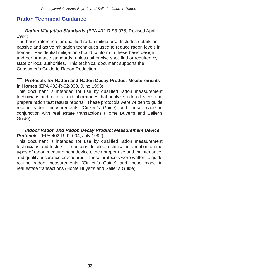### **Radon Technical Guidance**

*Radon Mitigation Standards* (EPA 402-R-93-078, Revised April 1994).

The basic reference for qualified radon mitigators. Includes details on passive and active mitigation techniques used to reduce radon levels in homes. Residential mitigation should conform to these basic design and performance standards, unless otherwise specified or required by state or local authorities. This technical document supports the Consumer's Guide to Radon Reduction.

#### **Protocols for Radon and Radon Decay Product Measurements in Homes** (EPA 402-R-92-003, June 1993).

This document is intended for use by qualified radon measurement technicians and testers, and laboratories that analyze radon devices and prepare radon test results reports. These protocols were written to guide routine radon measurements (Citizen's Guide) and those made in conjunction with real estate transactions (Home Buyer's and Seller's Guide).

*Indoor Radon and Radon Decay Product Measurement Device Protocols* (EPA 402-R-92-004, July 1992).

This document is intended for use by qualified radon measurement technicians and testers. It contains detailed technical information on the types of radon measurement devices, their proper use and maintenance, and quality assurance procedures. These protocols were written to guide routine radon measurements (Citizen's Guide) and those made in real estate transactions (Home Buyer's and Seller's Guide).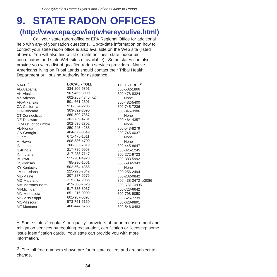# **9. STATE RADON OFFICES**

### **(http://www.epa.gov/iaq/whereyoulive.html)**

Call your state radon office or EPA Regional Office for additional help with any of your radon questions. Up-to-date information on how to contact your state radon office is also available on the Web site (listed above). You will also find a list of state hotlines, state indoor air coordinators and state Web sites (if available). Some states can also provide you with a list of qualified radon services providers. Native Americans living on Tribal Lands should contact their Tribal Health Department or Housing Authority for assistance.

| STATE <sup>1</sup>      | <b>LOCAL - TOLL</b> | TOLL - FREE <sup>2</sup> |
|-------------------------|---------------------|--------------------------|
| AL-Alabama              | 334-206-5391        | 800-582-1866             |
| AK-Alaska               | 907-465-3090        | 800-478-8324             |
| AZ-Arizona              | 602-255-4845 x244   | None                     |
| AR-Arkansas             | 501-661-2301        | 800-482-5400             |
| <b>CA-California</b>    | 916-324-2208        | 800-745-7236             |
| CO-Colorado             | 303-692-3090        | 800-846-3986             |
| <b>CT-Connecticut</b>   | 860-509-7367        | None                     |
| DE-Delaware             | 302-739-4731        | 800-464-4357             |
| DC-Dist. of columbia    | 202-535-2302        | None                     |
| FL-Florida              | 850-245-4288        | 800-543-8279             |
| GA-Georgia              | 404-872-3549        | 800-745-0037             |
| Guam                    | 671-475-1611        | None                     |
| HI-Hawaii               | 808-586-4700        | None                     |
| ID-Idaho                | 208-332-7319        | 800-445-8647             |
| IL-Illinois             | 217-785-9958        | 800-325-1245             |
| IN-Indiana              | 317-233-7147        | 800-272-9723             |
| IA-lowa                 | 515-281-4928        | 800-383-5992             |
| <b>KS-Kansas</b>        | 785-296-1561        | 800-693-5343             |
| <b>KY-Kentucky</b>      | 502-564-4856        | None                     |
| LA-Louisiana            | 225-925-7042        | 800-256-2494             |
| ME-Maine                | 207-287-5676        | 800-232-0842             |
| MD-Maryland             | 215-814-2086        | 800-438-2472 x2086       |
| <b>MA-Massachusetts</b> | 413-586-7525        | 800-RADON95              |
| MI-Michigan             | 517-335-8037        | 800-723-6642             |
| <b>MN-Minnesota</b>     | 651-215-0909        | 800-798-9050             |
| MS-Mississippi          | 601-987-6893        | 800-626-7739             |
| <b>MO-Missouri</b>      | 573-751-6160        | 800-628-9891             |
| MT-Montana              | 406-444-6768        | 800-546-0483             |

<sup>1</sup> Some states "regulate" or "qualify" providers of radon measurement and mitigation services by requiring registration, certification or licensing; some issue identification cards. Your state can provide you with more information.

 $2$  The toll-free numbers shown are for in-state callers and are subject to change.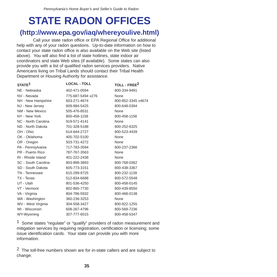# **STATE RADON OFFICES**

## **(http://www.epa.gov/iaq/whereyoulive.html)**

Call your state radon office or EPA Regional Office for additional help with any of your radon questions. Up-to-date information on how to contact your state radon office is also available on the Web site (listed above). You will also find a list of state hotlines, state indoor air coordinators and state Web sites (if available). Some states can also provide you with a list of qualified radon services providers. Native Americans living on Tribal Lands should contact their Tribal Health Department or Housing Authority for assistance.

| STATE <sup>1</sup>  | <b>LOCAL - TOLL</b> | TOLL - FREE <sup>2</sup> |
|---------------------|---------------------|--------------------------|
| NE - Nebraska       | 402-471-0594        | 800-334-9491             |
| NV - Nevada         | 775-687-5494 x276   | None                     |
| NH - New Hampshire  | 603-271-4674        | 800-852-3345 x4674       |
| NJ - New Jersey     | 609-984-5425        | 800-648-0394             |
| NM - New Mexico     | 505-476-8531        | None                     |
| NY - New York       | 800-458-1158        | 800-458-1158             |
| NC - North Carolina | 919-571-4141        | None                     |
| ND - North Dakota   | 701-328-5188        | 800-252-6325             |
| OH - Ohio           | 614-644-2727        | 800-523-4439             |
| OK - Oklahoma       | 405-702-5100        | None                     |
| OR - Oregon         | 503-731-4272        | None                     |
| PA - Pennsylvania   | 717-783-3594        | 800-237-2366             |
| PR - Puerto Rico    | 787-767-3563        | None                     |
| RI - Rhode Island   | 401-222-2438        | None                     |
| SC - South Carolina | 803-898-3893        | 800-768-0362             |
| SD - South Dakota   | 605-773-3151        | 800-438-3367             |
| TN - Tennessee      | 615-299-9725        | 800-232-1139             |
| TX - Texas          | 512-834-6688        | 800-572-5548             |
| UT - Utah           | 801-536-4250        | 800-458-0145             |
| VT - Vermont        | 802-865-7730        | 800-439-8550             |
| VA - Virginia       | 804-786-5932        | 800-468-0138             |
| WA - Washington     | 360-236-3253        | None                     |
| WV - West Virginia  | 304-558-3427        | 800-922-1255             |
| WI - Wisconsin      | 608-267-4796        | 800-569-7236             |
| WY-Wyoming          | 307-777-6015        | 800-458-5347             |

1 Some states "regulate" or "qualify" providers of radon measurement and mitigation services by requiring registration, certification or licensing; some issue identification cards. Your state can provide you with more information.

 $2$  The toll-free numbers shown are for in-state callers and are subject to change.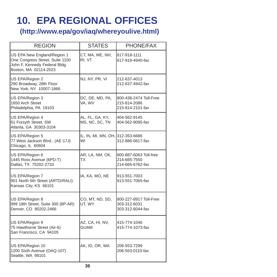# **10. EPA REGIONAL OFFICES**

**(http://www.epa/gov/iaq/whereyoulive.html)**

| <b>REGION</b>                                                                                                            | <b>STATES</b>                          | PHONE/FAX                                                  |
|--------------------------------------------------------------------------------------------------------------------------|----------------------------------------|------------------------------------------------------------|
| US EPA New England/Region 1<br>One Congress Street, Suite 1100<br>John F. Kennedy Federal Bldg.<br>Boston, MA 02114-2023 | CT, MA, ME, NH,<br>RI, VT              | 617-918-1111<br>617-918-4940-fax                           |
| US EPA/Region 2<br>290 Broadway, 28th Floor<br>New York, NY 10007-1866                                                   | NJ, NY, PR, VI                         | 212-637-4013<br>212-637-4942-fax                           |
| US EPA/Region 3<br>1650 Arch Street<br>Philadelphia, PA 19103                                                            | DC, DE, MD, PA,<br>VA, WV              | 800-438-2474 Toll-Free<br>215-814-2086<br>215-814-2101-fax |
| US EPA/Region 4<br>61 Forsyth Street, SW<br>Atlanta, GA 30303-3104                                                       | AL, FL, GA, KY,<br>MS, NC, SC, TN      | 404-562-9145<br>404-562-9095-fax                           |
| US EPA/Region 5<br>77 West Jackson Blvd., (AE-17J)<br>Chicago, IL 60604                                                  | IL, IN, MI, MN, OH, 312-353-6686<br>WI | 312-886-0617-fax                                           |
| US EPA/Region 6<br>1445 Ross Avenue (6PD-T)<br>Dallas, TX 75202-2733                                                     | AR, LA, NM, OK,<br>ТX                  | 800-887-6063 Toll-free<br>214-665-7550<br>214-665-6762-fax |
| US EPA/Region 7<br>901 North 5th Street (ARTD/RALI)<br>Kansas City, KS 66101                                             | IA, KA, MO, NE                         | 913-551-7003<br>913-551-7065-fax                           |
| US EPA/Region 8<br>999 18th Street, Suite 300 (8P-AR)<br>Denver, CO 80202-2466                                           | CO, MT, ND, SD,<br>UT, WY              | 800-227-8917 Toll-Free<br>303-312-6031<br>303-312-6044-fax |
| US EPA/Region 9<br>75 Hawthorne Street (Air-6)<br>San Francisco, CA 94105                                                | AZ, CA, HI, NV,<br><b>GUAM</b>         | 415-774-1046<br>415-774-1073-fax                           |
| US EPA/Region 10<br>1200 Sixth Avenue (OAQ-107)<br>Seattle, WA 98101                                                     | AK, ID, OR, WA                         | 206-553-7299<br>206-553-0110-fax                           |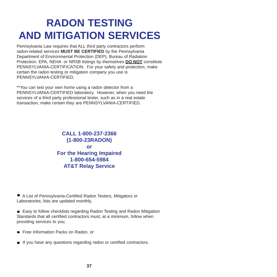# **RADON TESTING AND MITIGATION SERVICES**

Pennsylvania Law requires that ALL third party contractors perform radon-related services **MUST BE CERTIFIED** by the Pennsylvania Department of Environmental Protection (DEP), Bureau of Radiation Protection. EPA, NEHA or NRSB listings by themselves **DO NOT** constitute PENNSYLVANIA-CERTIFICATION. For your safety and protection, make certain the radon testing or mitigation company you use is PENNSYLVANIA-CERTIFIED.

\*\*You can test your own home using a radon detector from a PENNSYLVANIA-CERTIFIED laboratory. However, when you need the services of a third party professional tester, such as in a real estate transaction, make certain they are PENNSYLVANIA-CERTIFIED.

### **CALL 1-800-237-2366 (1-800-23RADON) or For the Hearing Impaired 1-800-654-5984 AT&T Relay Service**

■ A List of Pennsylvania-Certified Radon Testers, Mitigators or Laboratories; lists are updated monthly,

■ Easy to follow checklists regarding Radon Testing and Radon Mitigation Standards that all certified contractors must, at a minimum, follow when providing services to you,

- Free Information Packs on Radon, or
- If you have any questions regarding radon or certified contractors.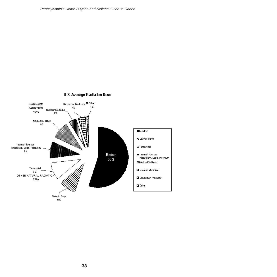

#### U.S. Average Radiation Dose